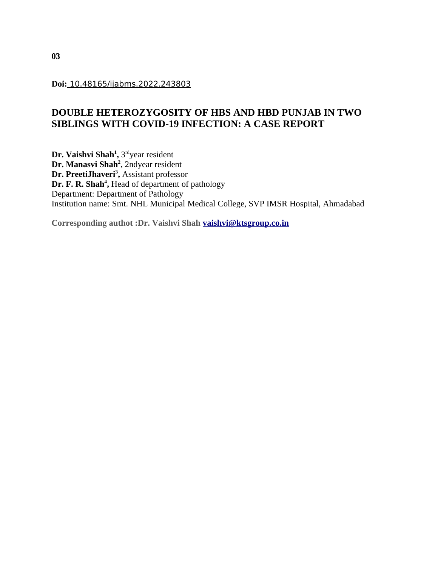**Doi:** 10.48165/ijabms.2022.243803

# **DOUBLE HETEROZYGOSITY OF HBS AND HBD PUNJAB IN TWO SIBLINGS WITH COVID-19 INFECTION: A CASE REPORT**

 $\mathbf{Dr.}\ \mathbf{V}$ aishvi Shah $^1$ , 3 $^{\text{rd}}$ year resident **Dr. Manasvi Shah<sup>2</sup>** , 2ndyear resident **Dr. PreetiJhaveri<sup>3</sup> ,** Assistant professor **Dr. F. R. Shah<sup>4</sup> ,** Head of department of pathology Department: Department of Pathology Institution name: Smt. NHL Municipal Medical College, SVP IMSR Hospital, Ahmadabad

**Corresponding authot :Dr. Vaishvi Shah [vaishvi@ktsgroup.co.in](mailto:vaishvi@ktsgroup.co.in)**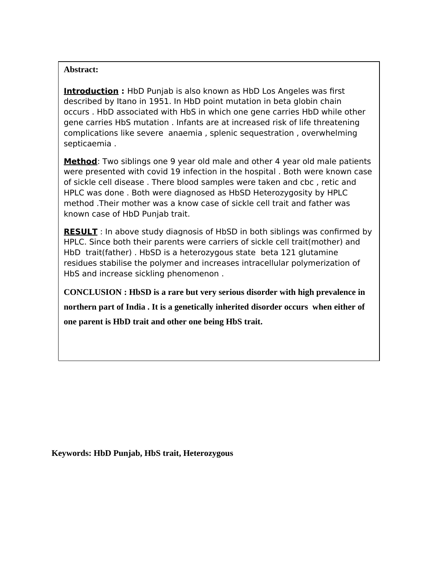# **Abstract:**

**Introduction :** HbD Punjab is also known as HbD Los Angeles was first described by Itano in 1951. In HbD point mutation in beta globin chain occurs . HbD associated with HbS in which one gene carries HbD while other gene carries HbS mutation . Infants are at increased risk of life threatening complications like severe anaemia , splenic sequestration , overwhelming septicaemia .

**Method**: Two siblings one 9 year old male and other 4 year old male patients were presented with covid 19 infection in the hospital . Both were known case of sickle cell disease . There blood samples were taken and cbc , retic and HPLC was done . Both were diagnosed as HbSD Heterozygosity by HPLC method .Their mother was a know case of sickle cell trait and father was known case of HbD Punjab trait.

**RESULT** : In above study diagnosis of HbSD in both siblings was confirmed by HPLC. Since both their parents were carriers of sickle cell trait(mother) and HbD trait(father) . HbSD is a heterozygous state beta 121 glutamine residues stabilise the polymer and increases intracellular polymerization of HbS and increase sickling phenomenon .

**CONCLUSION : HbSD is a rare but very serious disorder with high prevalence in northern part of India . It is a genetically inherited disorder occurs when either of one parent is HbD trait and other one being HbS trait.**

**Keywords: HbD Punjab, HbS trait, Heterozygous**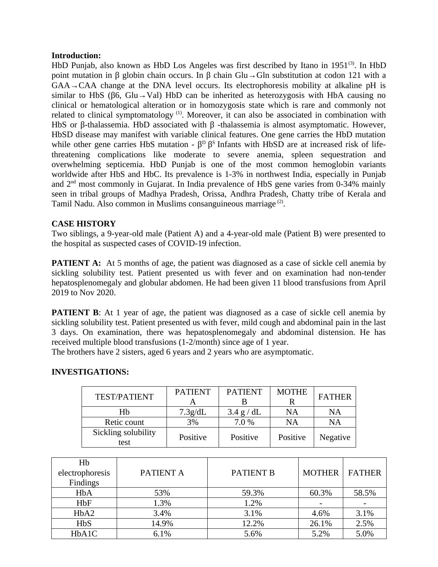#### **Introduction:**

HbD Punjab, also known as HbD Los Angeles was first described by Itano in  $1951^{(3)}$ . In HbD point mutation in β globin chain occurs. In β chain Glu  $\rightarrow$  Gln substitution at codon 121 with a  $GAA \rightarrow CAA$  change at the DNA level occurs. Its electrophoresis mobility at alkaline pH is similar to HbS ( $\beta$ 6, Glu→Val) HbD can be inherited as heterozygosis with HbA causing no clinical or hematological alteration or in homozygosis state which is rare and commonly not related to clinical symptomatology<sup>(1)</sup>. Moreover, it can also be associated in combination with HbS or β-thalassemia. HbD associated with  $β$  -thalassemia is almost asymptomatic. However, HbSD disease may manifest with variable clinical features. One gene carries the HbD mutation while other gene carries HbS mutation -  $\beta^D$  β<sup>S</sup> Infants with HbSD are at increased risk of lifethreatening complications like moderate to severe anemia, spleen sequestration and overwhelming septicemia. HbD Punjab is one of the most common hemoglobin variants worldwide after HbS and HbC. Its prevalence is 1-3% in northwest India, especially in Punjab and  $2<sup>nd</sup>$  most commonly in Gujarat. In India prevalence of HbS gene varies from 0-34% mainly seen in tribal groups of Madhya Pradesh, Orissa, Andhra Pradesh, Chatty tribe of Kerala and Tamil Nadu. Also common in Muslims consanguineous marriage<sup>(2)</sup>.

### **CASE HISTORY**

Two siblings, a 9-year-old male (Patient A) and a 4-year-old male (Patient B) were presented to the hospital as suspected cases of COVID-19 infection.

**PATIENT A:** At 5 months of age, the patient was diagnosed as a case of sickle cell anemia by sickling solubility test. Patient presented us with fever and on examination had non-tender hepatosplenomegaly and globular abdomen. He had been given 11 blood transfusions from April 2019 to Nov 2020.

**PATIENT B:** At 1 year of age, the patient was diagnosed as a case of sickle cell anemia by sickling solubility test. Patient presented us with fever, mild cough and abdominal pain in the last 3 days. On examination, there was hepatosplenomegaly and abdominal distension. He has received multiple blood transfusions (1-2/month) since age of 1 year.

The brothers have 2 sisters, aged 6 years and 2 years who are asymptomatic.

## **INVESTIGATIONS:**

|                             |                | <b>PATIENT</b> |              |                 |  |
|-----------------------------|----------------|----------------|--------------|-----------------|--|
| <b>TEST/PATIENT</b>         | <b>PATIENT</b> |                | <b>MOTHE</b> | <b>FATHER</b>   |  |
|                             |                |                |              |                 |  |
| Hh                          | 7.3g/dL        | 3.4 g/dL       | ΝA           | NA              |  |
| Retic count                 | 3%             | 7.0 %          | ΝA           | NA              |  |
| Sickling solubility<br>test | Positive       | Positive       | Positive     | <b>Negative</b> |  |

| Hb                            |           |                  |               |               |
|-------------------------------|-----------|------------------|---------------|---------------|
| electrophoresis               | PATIENT A | <b>PATIENT B</b> | <b>MOTHER</b> | <b>FATHER</b> |
| Findings                      |           |                  |               |               |
| HbA                           | 53%       | 59.3%            | 60.3%         | 58.5%         |
| HbF                           | 1.3%      | 1.2%             |               |               |
| H <sub>b</sub> A <sub>2</sub> | 3.4%      | 3.1%             | 4.6%          | 3.1%          |
| <b>HbS</b>                    | 14.9%     | 12.2%            | 26.1%         | 2.5%          |
| HbA1C                         | 6.1%      | 5.6%             | 5.2%          | 5.0%          |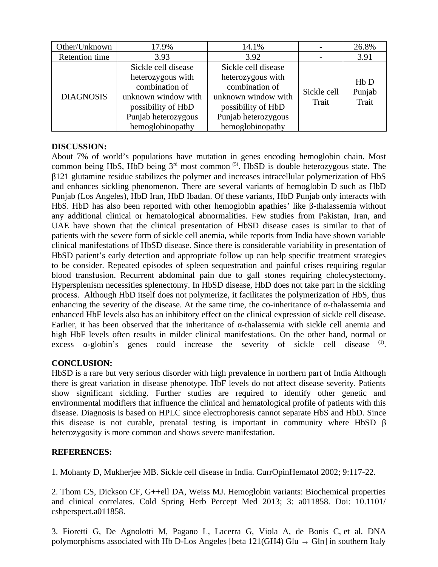| Other/Unknown    | 17.9%               | 14.1%                                     |                      | 26.8%                            |
|------------------|---------------------|-------------------------------------------|----------------------|----------------------------------|
| Retention time   | 3.93                | 3.92                                      |                      | 3.91                             |
| <b>DIAGNOSIS</b> | Sickle cell disease | Sickle cell disease                       |                      | $Hb$ D<br>Punjab<br><b>Trait</b> |
|                  | heterozygous with   | heterozygous with                         |                      |                                  |
|                  | combination of      | combination of                            | Sickle cell<br>Trait |                                  |
|                  | unknown window with | unknown window with                       |                      |                                  |
|                  | possibility of HbD  | possibility of HbD<br>Punjab heterozygous |                      |                                  |
|                  | Punjab heterozygous |                                           |                      |                                  |
|                  | hemoglobinopathy    | hemoglobinopathy                          |                      |                                  |

# **DISCUSSION:**

About 7% of world's populations have mutation in genes encoding hemoglobin chain. Most common being HbS, HbD being  $3<sup>rd</sup>$  most common  $(5)$ . HbSD is double heterozygous state. The β121 glutamine residue stabilizes the polymer and increases intracellular polymerization of HbS and enhances sickling phenomenon. There are several variants of hemoglobin D such as HbD Punjab (Los Angeles), HbD Iran, HbD Ibadan. Of these variants, HbD Punjab only interacts with HbS. HbD has also been reported with other hemoglobin apathies' like  $\beta$ -thalassemia without any additional clinical or hematological abnormalities. Few studies from Pakistan, Iran, and UAE have shown that the clinical presentation of HbSD disease cases is similar to that of patients with the severe form of sickle cell anemia, while reports from India have shown variable clinical manifestations of HbSD disease. Since there is considerable variability in presentation of HbSD patient's early detection and appropriate follow up can help specific treatment strategies to be consider. Repeated episodes of spleen sequestration and painful crises requiring regular blood transfusion. Recurrent abdominal pain due to gall stones requiring cholecystectomy. Hypersplenism necessities splenectomy. In HbSD disease, HbD does not take part in the sickling process. Although HbD itself does not polymerize, it facilitates the polymerization of HbS, thus enhancing the severity of the disease. At the same time, the co-inheritance of  $\alpha$ -thalassemia and enhanced HbF levels also has an inhibitory effect on the clinical expression of sickle cell disease. Earlier, it has been observed that the inheritance of  $\alpha$ -thalassemia with sickle cell anemia and high HbF levels often results in milder clinical manifestations. On the other hand, normal or excess  $\alpha$ -globin's genes could increase the severity of sickle cell disease  $(1)$ .

# **CONCLUSION:**

HbSD is a rare but very serious disorder with high prevalence in northern part of India Although there is great variation in disease phenotype. HbF levels do not affect disease severity. Patients show significant sickling. Further studies are required to identify other genetic and environmental modifiers that influence the clinical and hematological profile of patients with this disease. Diagnosis is based on HPLC since electrophoresis cannot separate HbS and HbD. Since this disease is not curable, prenatal testing is important in community where HbSD β heterozygosity is more common and shows severe manifestation.

# **REFERENCES:**

1. Mohanty D, Mukherjee MB. Sickle cell disease in India. CurrOpinHematol 2002; 9:117-22.

2. Thom CS, Dickson CF, G++ell DA, Weiss MJ. Hemoglobin variants: Biochemical properties and clinical correlates. Cold Spring Herb Percept Med 2013; 3: a011858. Doi: 10.1101/ cshperspect.a011858.

3. Fioretti G, De Agnolotti M, Pagano L, Lacerra G, Viola A, de Bonis C, et al. DNA polymorphisms associated with Hb D-Los Angeles [beta 121(GH4) Glu  $\rightarrow$  Gln] in southern Italy